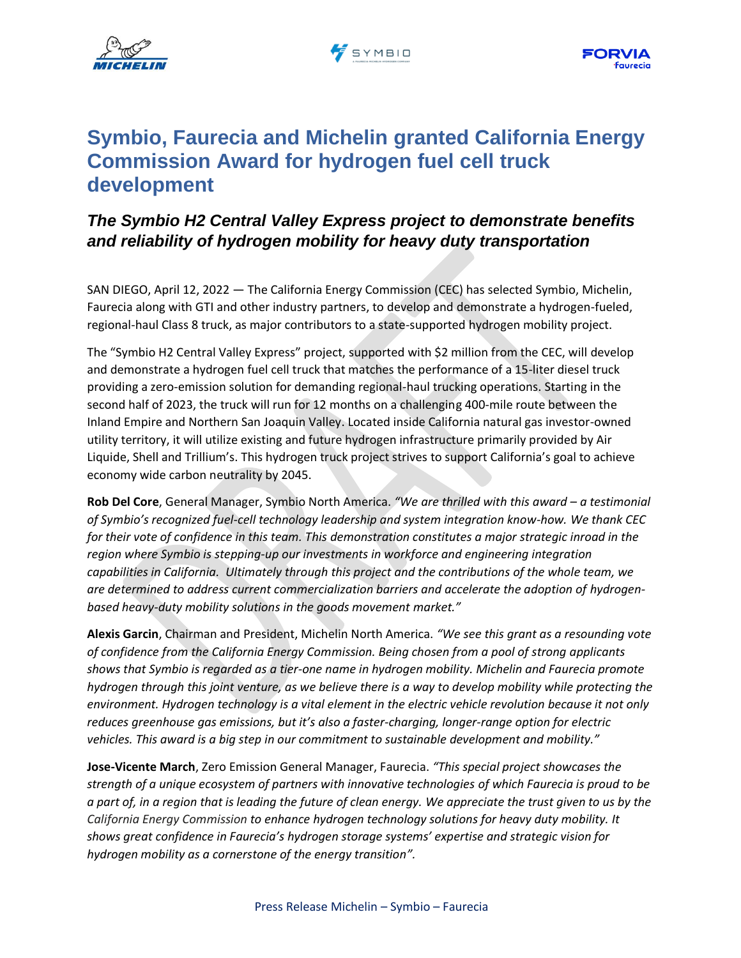





# **Symbio, Faurecia and Michelin granted California Energy Commission Award for hydrogen fuel cell truck development**

## *The Symbio H2 Central Valley Express project to demonstrate benefits and reliability of hydrogen mobility for heavy duty transportation*

SAN DIEGO, April 12, 2022 — The California Energy Commission (CEC) has selected Symbio, Michelin, Faurecia along with GTI and other industry partners, to develop and demonstrate a hydrogen-fueled, regional-haul Class 8 truck, as major contributors to a state-supported hydrogen mobility project.

The "Symbio H2 Central Valley Express" project, supported with \$2 million from the CEC, will develop and demonstrate a hydrogen fuel cell truck that matches the performance of a 15-liter diesel truck providing a zero-emission solution for demanding regional-haul trucking operations. Starting in the second half of 2023, the truck will run for 12 months on a challenging 400-mile route between the Inland Empire and Northern San Joaquin Valley. Located inside California natural gas investor-owned utility territory, it will utilize existing and future hydrogen infrastructure primarily provided by Air Liquide, Shell and Trillium's. This hydrogen truck project strives to support California's goal to achieve economy wide carbon neutrality by 2045.

**Rob Del Core**, General Manager, Symbio North America. *"We are thrilled with this award – a testimonial of Symbio's recognized fuel-cell technology leadership and system integration know-how. We thank CEC for their vote of confidence in this team. This demonstration constitutes a major strategic inroad in the region where Symbio is stepping-up our investments in workforce and engineering integration capabilities in California. Ultimately through this project and the contributions of the whole team, we are determined to address current commercialization barriers and accelerate the adoption of hydrogenbased heavy-duty mobility solutions in the goods movement market."*

**Alexis Garcin**, Chairman and President, Michelin North America. *"We see this grant as a resounding vote of confidence from the California Energy Commission. Being chosen from a pool of strong applicants shows that Symbio is regarded as a tier-one name in hydrogen mobility. Michelin and Faurecia promote* hydrogen through this joint venture, as we believe there is a way to develop mobility while protecting the *environment. Hydrogen technology is a vital element in the electric vehicle revolution because it not only reduces greenhouse gas emissions, but it's also a faster-charging, longer-range option for electric vehicles. This award is a big step in our commitment to sustainable development and mobility."*

**Jose-Vicente March**, Zero Emission General Manager, Faurecia. *"This special project showcases the strength of a unique ecosystem of partners with innovative technologies of which Faurecia is proud to be a part of, in a region that is leading the future of clean energy. We appreciate the trust given to us by the California Energy Commission to enhance hydrogen technology solutions for heavy duty mobility. It shows great confidence in Faurecia's hydrogen storage systems' expertise and strategic vision for hydrogen mobility as a cornerstone of the energy transition".*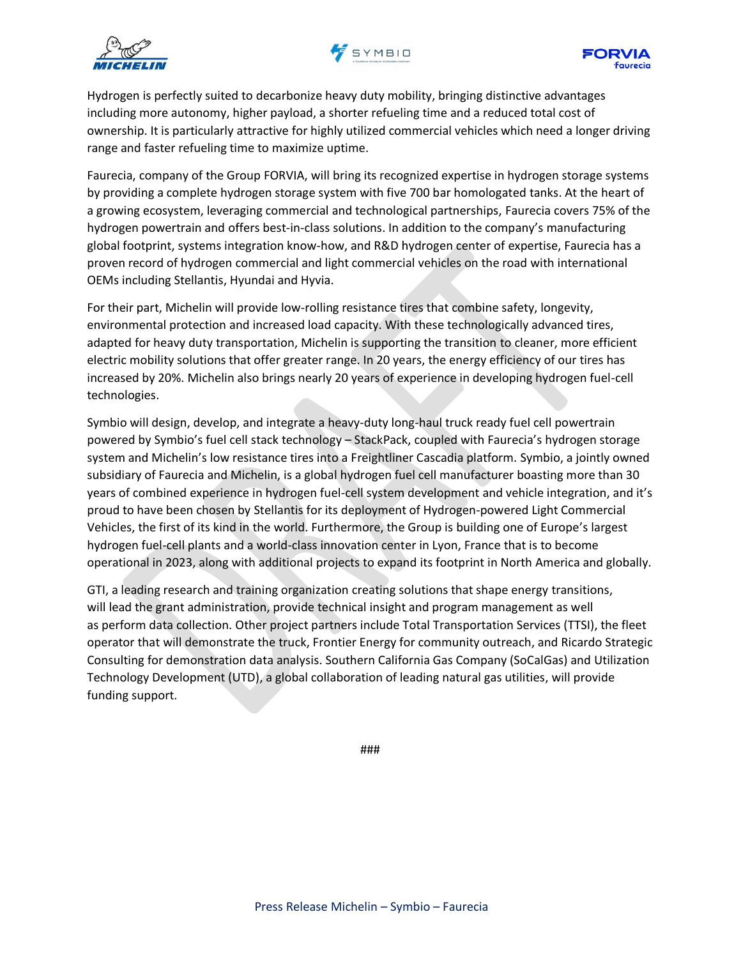





Hydrogen is perfectly suited to decarbonize heavy duty mobility, bringing distinctive advantages including more autonomy, higher payload, a shorter refueling time and a reduced total cost of ownership. It is particularly attractive for highly utilized commercial vehicles which need a longer driving range and faster refueling time to maximize uptime.

Faurecia, company of the Group FORVIA, will bring its recognized expertise in hydrogen storage systems by providing a complete hydrogen storage system with five 700 bar homologated tanks. At the heart of a growing ecosystem, leveraging commercial and technological partnerships, Faurecia covers 75% of the hydrogen powertrain and offers best-in-class solutions. In addition to the company's manufacturing global footprint, systems integration know-how, and R&D hydrogen center of expertise, Faurecia has a proven record of hydrogen commercial and light commercial vehicles on the road with international OEMs including Stellantis, Hyundai and Hyvia.

For their part, Michelin will provide low-rolling resistance tires that combine safety, longevity, environmental protection and increased load capacity. With these technologically advanced tires, adapted for heavy duty transportation, Michelin is supporting the transition to cleaner, more efficient electric mobility solutions that offer greater range. In 20 years, the energy efficiency of our tires has increased by 20%. Michelin also brings nearly 20 years of experience in developing hydrogen fuel-cell technologies.

Symbio will design, develop, and integrate a heavy-duty long-haul truck ready fuel cell powertrain powered by Symbio's fuel cell stack technology – StackPack, coupled with Faurecia's hydrogen storage system and Michelin's low resistance tires into a Freightliner Cascadia platform. Symbio, a jointly owned subsidiary of Faurecia and Michelin, is a global hydrogen fuel cell manufacturer boasting more than 30 years of combined experience in hydrogen fuel-cell system development and vehicle integration, and it's proud to have been chosen by Stellantis for its deployment of Hydrogen-powered Light Commercial Vehicles, the first of its kind in the world. Furthermore, the Group is building one of Europe's largest hydrogen fuel-cell plants and a world-class innovation center in Lyon, France that is to become operational in 2023, along with additional projects to expand its footprint in North America and globally.

GTI, a leading research and training organization creating solutions that shape energy transitions, will lead the grant administration, provide technical insight and program management as well as perform data collection. Other project partners include Total Transportation Services (TTSI), the fleet operator that will demonstrate the truck, Frontier Energy for community outreach, and Ricardo Strategic Consulting for demonstration data analysis. Southern California Gas Company (SoCalGas) and Utilization Technology Development (UTD), a global collaboration of leading natural gas utilities, will provide funding support.

###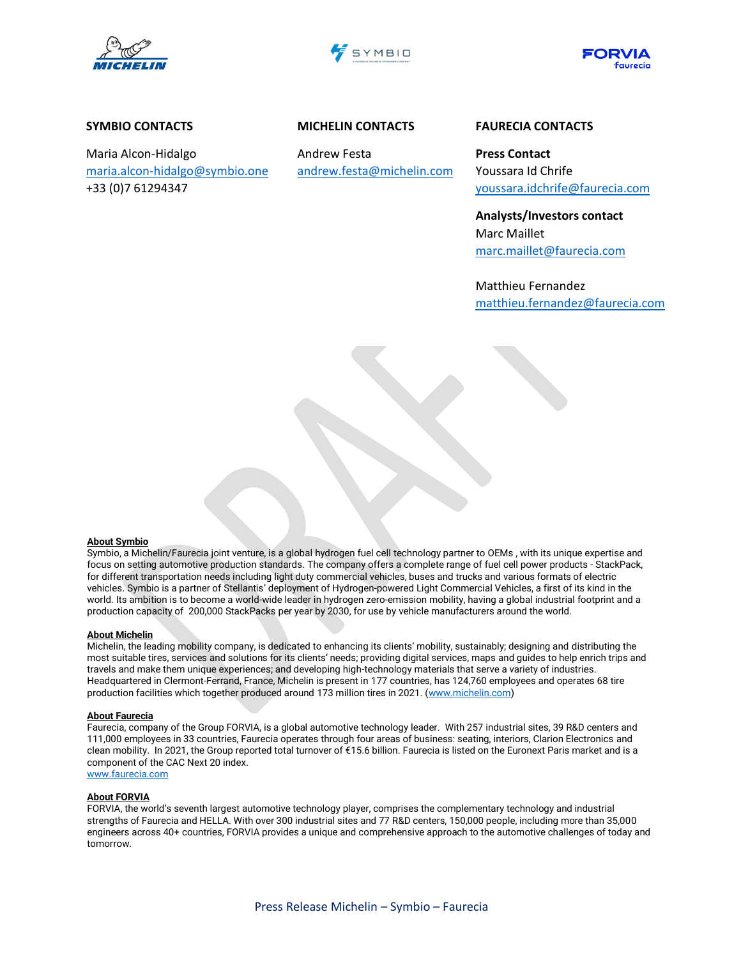





### **SYMBIO CONTACTS**

Maria Alcon-Hidalgo [maria.alcon-hidalgo@symbio.one](mailto:maria.alcon-hidalgo@symbio.one) +33 (0)7 61294347

## **MICHELIN CONTACTS**

Andrew Festa [andrew.festa@michelin.com](mailto:andrew.festa@michelin.com)

## **FAURECIA CONTACTS**

**Press Contact** Youssara Id Chrife [youssara.idchrife@faurecia.com](mailto:youssara.idchrife@faurecia.com)

**Analysts/Investors contact** Marc Maillet [marc.maillet@faurecia.com](mailto:marc.maillet@faurecia.com)

Matthieu Fernandez [matthieu.fernandez@faurecia.com](mailto:matthieu.fernandez@faurecia.com)

#### **About Symbio**

Symbio, a Michelin/Faurecia joint venture, is a global hydrogen fuel cell technology partner to OEMs , with its unique expertise and focus on setting automotive production standards. The company offers a complete range of fuel cell power products - StackPack, for different transportation needs including light duty commercial vehicles, buses and trucks and various formats of electric vehicles. Symbio is a partner of Stellantis' deployment of Hydrogen-powered Light Commercial Vehicles, a first of its kind in the world. Its ambition is to become a world-wide leader in hydrogen zero-emission mobility, having a global industrial footprint and a production capacity of 200,000 StackPacks per year by 2030, for use by vehicle manufacturers around the world.

#### **About Michelin**

Michelin, the leading mobility company, is dedicated to enhancing its clients' mobility, sustainably; designing and distributing the most suitable tires, services and solutions for its clients' needs; providing digital services, maps and guides to help enrich trips and travels and make them unique experiences; and developing high-technology materials that serve a variety of industries. Headquartered in Clermont-Ferrand, France, Michelin is present in 177 countries, has 124,760 employees and operates 68 tire production facilities which together produced around 173 million tires in 2021. [\(www.michelin.com\)](http://www.michelin.com/)

#### **About Faurecia**

Faurecia, company of the Group FORVIA, is a global automotive technology leader. With 257 industrial sites, 39 R&D centers and 111,000 employees in 33 countries, Faurecia operates through four areas of business: seating, interiors, Clarion Electronics and clean mobility. In 2021, the Group reported total turnover of €15.6 billion. Faurecia is listed on the Euronext Paris market and is a component of the CAC Next 20 index. [www.faurecia.com](http://www.faurecia.com/)

#### **About FORVIA**

FORVIA, the world's seventh largest automotive technology player, comprises the complementary technology and industrial strengths of Faurecia and HELLA. With over 300 industrial sites and 77 R&D centers, 150,000 people, including more than 35,000 engineers across 40+ countries, FORVIA provides a unique and comprehensive approach to the automotive challenges of today and tomorrow.